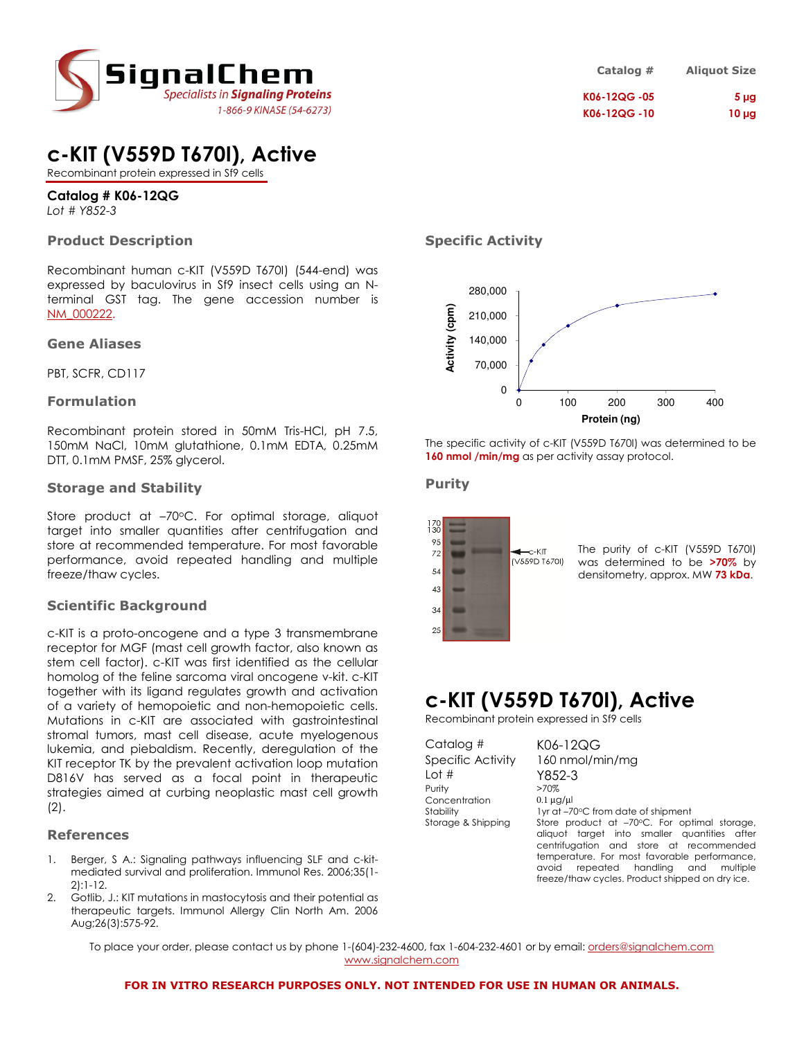

## c-KIT (V559D T670I), Active

Recombinant protein expressed in Sf9 cells

### Catalog # K06-12QG

Lot # Y852-3

### Product Description

Recombinant human c-KIT (V559D T670I) (544-end) was expressed by baculovirus in Sf9 insect cells using an Nterminal GST tag. The gene accession number is NM\_000222.

#### Gene Aliases

PBT, SCFR, CD117

### Formulation

Recombinant protein stored in 50mM Tris-HCl, pH 7.5, 150mM NaCl, 10mM glutathione, 0.1mM EDTA, 0.25mM DTT, 0.1mM PMSF, 25% glycerol.

### Storage and Stability

Store product at -70°C. For optimal storage, aliquot target into smaller quantities after centrifugation and store at recommended temperature. For most favorable performance, avoid repeated handling and multiple freeze/thaw cycles.

### Scientific Background

c-KIT is a proto-oncogene and a type 3 transmembrane receptor for MGF (mast cell growth factor, also known as stem cell factor). c-KIT was first identified as the cellular homolog of the feline sarcoma viral oncogene v-kit. c-KIT together with its ligand regulates growth and activation of a variety of hemopoietic and non-hemopoietic cells. Mutations in c-KIT are associated with gastrointestinal stromal tumors, mast cell disease, acute myelogenous lukemia, and piebaldism. Recently, deregulation of the KIT receptor TK by the prevalent activation loop mutation D816V has served as a focal point in therapeutic strategies aimed at curbing neoplastic mast cell growth (2).

#### References

- 1. Berger, S A.: Signaling pathways influencing SLF and c-kitmediated survival and proliferation. Immunol Res. 2006;35(1- 2):1-12.
- 2. Gotlib, J.: KIT mutations in mastocytosis and their potential as therapeutic targets. Immunol Allergy Clin North Am. 2006 Aug;26(3):575-92.

| Catalog #    | <b>Aliquot Size</b> |
|--------------|---------------------|
| K06-12QG -05 | 5 <sub>µq</sub>     |
| K06-12QG -10 | $10 \mu g$          |

### Specific Activity



The specific activity of c-KIT (V559D T670I) was determined to be 160 nmol /min/mg as per activity assay protocol.

### Purity



The purity of c-KIT (V559D T670I) was determined to be >70% by densitometry, approx. MW 73 kDa.

## c-KIT (V559D T670I), Active

Recombinant protein expressed in Sf9 cells

Catalog # K06-12QG Lot # Y852-3 Purity >70%<br>Concentration 0.1 ua/ul Concentration

Specific Activity 160 nmol/min/mg Stability 1yr at –70°C from date of shipment Storage & Shipping Store product at -70°C. For optimal storage, aliquot target into smaller quantities after centrifugation and store at recommended temperature. For most favorable performance, avoid repeated handling and multiple freeze/thaw cycles. Product shipped on dry ice.

To place your order, please contact us by phone 1-(604)-232-4600, fax 1-604-232-4601 or by email: *orders@signalchem.com* www.signalchem.com